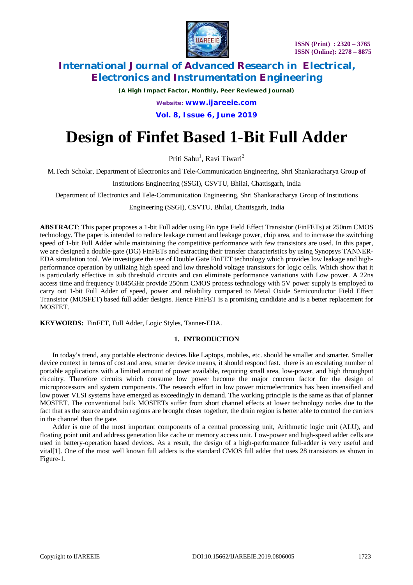

*(A High Impact Factor, Monthly, Peer Reviewed Journal)*

*Website: [www.ijareeie.com](http://www.ijareeie.com)*

**Vol. 8, Issue 6, June 2019**

# **Design of Finfet Based 1-Bit Full Adder**

Priti Sahu<sup>1</sup>, Ravi Tiwari<sup>2</sup>

M.Tech Scholar, Department of Electronics and Tele-Communication Engineering, Shri Shankaracharya Group of

Institutions Engineering (SSGI), CSVTU, Bhilai, Chattisgarh, India

Department of Electronics and Tele-Communication Engineering, Shri Shankaracharya Group of Institutions

Engineering (SSGI), CSVTU, Bhilai, Chattisgarh, India

**ABSTRACT**: This paper proposes a 1-bit Full adder using Fin type Field Effect Transistor (FinFETs) at 250nm CMOS technology. The paper is intended to reduce leakage current and leakage power, chip area, and to increase the switching speed of 1-bit Full Adder while maintaining the competitive performance with few transistors are used. In this paper, we are designed a double-gate (DG) FinFETs and extracting their transfer characteristics by using Synopsys TANNER-EDA simulation tool. We investigate the use of Double Gate FinFET technology which provides low leakage and highperformance operation by utilizing high speed and low threshold voltage transistors for logic cells. Which show that it is particularly effective in sub threshold circuits and can eliminate performance variations with Low power. A 22ns access time and frequency 0.045GHz provide 250nm CMOS process technology with 5V power supply is employed to carry out 1-bit Full Adder of speed, power and reliability compared to Metal Oxide Semiconductor Field Effect Transistor (MOSFET) based full adder designs. Hence FinFET is a promising candidate and is a better replacement for MOSFET.

**KEYWORDS:** FinFET, Full Adder, Logic Styles, Tanner-EDA.

### **1. INTRODUCTION**

In today's trend, any portable electronic devices like Laptops, mobiles, etc. should be smaller and smarter. Smaller device context in terms of cost and area, smarter device means, it should respond fast. there is an escalating number of portable applications with a limited amount of power available, requiring small area, low-power, and high throughput circuitry. Therefore circuits which consume low power become the major concern factor for the design of microprocessors and system components. The research effort in low power microelectronics has been intensified and low power VLSI systems have emerged as exceedingly in demand. The working principle is the same as that of planner MOSFET. The conventional bulk MOSFETs suffer from short channel effects at lower technology nodes due to the fact that as the source and drain regions are brought closer together, the drain region is better able to control the carriers in the channel than the gate.

Adder is one of the most important components of a central processing unit, Arithmetic logic unit (ALU), and floating point unit and address generation like cache or memory access unit. Low-power and high-speed adder cells are used in battery-operation based devices. As a result, the design of a high-performance full-adder is very useful and vital[1]. One of the most well known full adders is the standard CMOS full adder that uses 28 transistors as shown in Figure-1.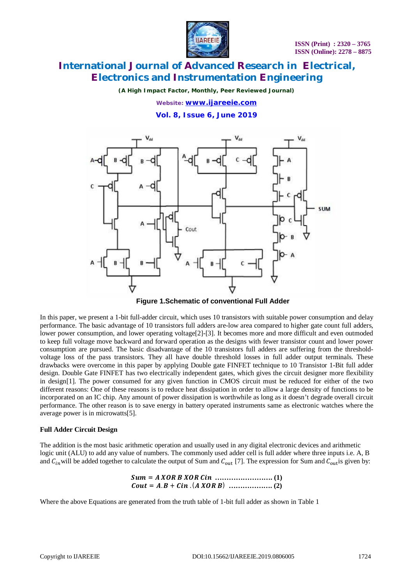

*(A High Impact Factor, Monthly, Peer Reviewed Journal)*

*Website: [www.ijareeie.com](http://www.ijareeie.com)*

**Vol. 8, Issue 6, June 2019**



**Figure 1.Schematic of conventional Full Adder**

In this paper, we present a 1-bit full-adder circuit, which uses 10 transistors with suitable power consumption and delay performance. The basic advantage of 10 transistors full adders are-low area compared to higher gate count full adders, lower power consumption, and lower operating voltage<sup>[2]</sup>-[3]. It becomes more and more difficult and even outmoded to keep full voltage move backward and forward operation as the designs with fewer transistor count and lower power consumption are pursued. The basic disadvantage of the 10 transistors full adders are suffering from the thresholdvoltage loss of the pass transistors. They all have double threshold losses in full adder output terminals. These drawbacks were overcome in this paper by applying Double gate FINFET technique to 10 Transistor 1-Bit full adder design. Double Gate FINFET has two electrically independent gates, which gives the circuit designer more flexibility in design[1]. The power consumed for any given function in CMOS circuit must be reduced for either of the two different reasons: One of these reasons is to reduce heat dissipation in order to allow a large density of functions to be incorporated on an IC chip. Any amount of power dissipation is worthwhile as long as it doesn't degrade overall circuit performance. The other reason is to save energy in battery operated instruments same as electronic watches where the average power is in microwatts[5].

### **Full Adder Circuit Design**

The addition is the most basic arithmetic operation and usually used in any digital electronic devices and arithmetic logic unit (ALU) to add any value of numbers. The commonly used adder cell is full adder where three inputs i.e. A, B and  $C_{in}$  will be added together to calculate the output of Sum and  $C_{out}$  [7]. The expression for Sum and  $C_{out}$  is given by:

Sum = 
$$
A XOR B XOR C in
$$
 ................. (1)  
Count =  $A.B + C in$  ( $A XOR B$ ) ................. (2)

Where the above Equations are generated from the truth table of 1-bit full adder as shown in Table 1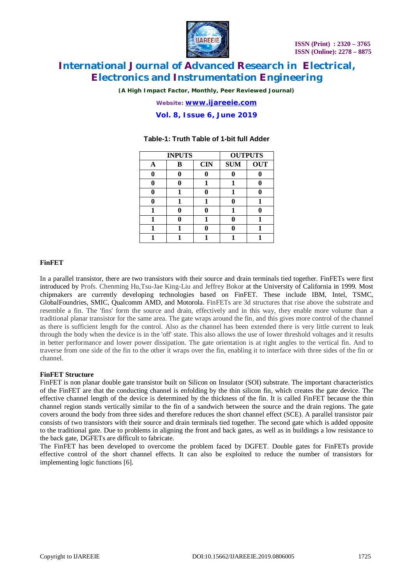

*(A High Impact Factor, Monthly, Peer Reviewed Journal)*

*Website: [www.ijareeie.com](http://www.ijareeie.com)*

**Vol. 8, Issue 6, June 2019**

### **INPUTS OUTPUTS A B CIN SUM OUT 0 0 0 0 0**  $0$  | 0 | 1 | 1 | 0 **0 1 0 1 0 0 1 1 0 1 1 0 0 1 0 1 0 1 0 1 1 1 0 0 1 1 1 1 1 1**

### **Table-1: Truth Table of 1-bit full Adder**

### **FinFET**

In a parallel transistor, there are two transistors with their source and drain terminals tied together. FinFETs were first introduced by Profs. Chenming Hu,Tsu-Jae King-Liu and Jeffrey Bokor at the University of California in 1999. Most chipmakers are currently developing technologies based on FinFET. These include IBM, Intel, TSMC, GlobalFoundries, SMIC, Qualcomm AMD, and Motorola. FinFETs are 3d structures that rise above the substrate and resemble a fin. The 'fins' form the source and drain, effectively and in this way, they enable more volume than a traditional planar transistor for the same area. The gate wraps around the fin, and this gives more control of the channel as there is sufficient length for the control. Also as the channel has been extended there is very little current to leak through the body when the device is in the 'off' state. This also allows the use of lower threshold voltages and it results in better performance and lower power dissipation. The gate orientation is at right angles to the vertical fin. And to traverse from one side of the fin to the other it wraps over the fin, enabling it to interface with three sides of the fin or channel.

### **FinFET Structure**

FinFET is non planar double gate transistor built on Silicon on Insulator (SOI) substrate. The important characteristics of the FinFET are that the conducting channel is enfolding by the thin silicon fin, which creates the gate device. The effective channel length of the device is determined by the thickness of the fin. It is called FinFET because the thin channel region stands vertically similar to the fin of a sandwich between the source and the drain regions. The gate covers around the body from three sides and therefore reduces the short channel effect (SCE). A parallel transistor pair consists of two transistors with their source and drain terminals tied together. The second gate which is added opposite to the traditional gate. Due to problems in aligning the front and back gates, as well as in buildings a low resistance to the back gate, DGFETs are difficult to fabricate.

The FinFET has been developed to overcome the problem faced by DGFET. Double gates for FinFETs provide effective control of the short channel effects. It can also be exploited to reduce the number of transistors for implementing logic functions [6].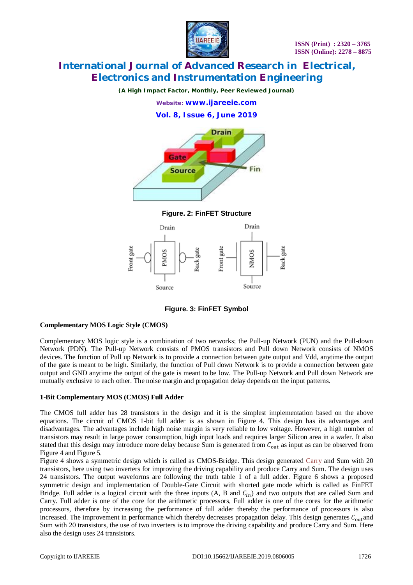

*(A High Impact Factor, Monthly, Peer Reviewed Journal)*



**Figure. 2: FinFET Structure**



**Figure. 3: FinFET Symbol**

### **Complementary MOS Logic Style (CMOS)**

Complementary MOS logic style is a combination of two networks; the Pull-up Network (PUN) and the Pull-down Network (PDN). The Pull-up Network consists of PMOS transistors and Pull down Network consists of NMOS devices. The function of Pull up Network is to provide a connection between gate output and Vdd, anytime the output of the gate is meant to be high. Similarly, the function of Pull down Network is to provide a connection between gate output and GND anytime the output of the gate is meant to be low. The Pull-up Network and Pull down Network are mutually exclusive to each other. The noise margin and propagation delay depends on the input patterns.

### **1-Bit Complementary MOS (CMOS) Full Adder**

The CMOS full adder has 28 transistors in the design and it is the simplest implementation based on the above equations. The circuit of CMOS 1-bit full adder is as shown in Figure 4. This design has its advantages and disadvantages. The advantages include high noise margin is very reliable to low voltage. However, a high number of transistors may result in large power consumption, high input loads and requires larger Silicon area in a wafer. It also stated that this design may introduce more delay because Sum is generated from  $C_{\text{out}}$  as input as can be observed from Figure 4 and Figure 5.

Figure 4 shows a symmetric design which is called as CMOS-Bridge. This design generated Carry and Sum with 20 transistors, here using two inverters for improving the driving capability and produce Carry and Sum. The design uses 24 transistors. The output waveforms are following the truth table 1 of a full adder. Figure 6 shows a proposed symmetric design and implementation of Double-Gate Circuit with shorted gate mode which is called as FinFET Bridge. Full adder is a logical circuit with the three inputs  $(A, B \text{ and } C_{in})$  and two outputs that are called Sum and Carry. Full adder is one of the core for the arithmetic processors, Full adder is one of the cores for the arithmetic processors, therefore by increasing the performance of full adder thereby the performance of processors is also increased. The improvement in performance which thereby decreases propagation delay. This design generates  $C_{\text{out}}$ and Sum with 20 transistors, the use of two inverters is to improve the driving capability and produce Carry and Sum. Here also the design uses 24 transistors.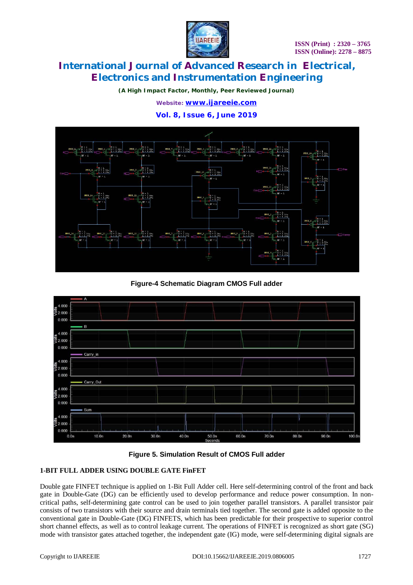

*(A High Impact Factor, Monthly, Peer Reviewed Journal)*

*Website: [www.ijareeie.com](http://www.ijareeie.com)*

**Vol. 8, Issue 6, June 2019**



**Figure-4 Schematic Diagram CMOS Full adder**





### **1-BIT FULL ADDER USING DOUBLE GATE FinFET**

Double gate FINFET technique is applied on 1-Bit Full Adder cell. Here self-determining control of the front and back gate in Double-Gate (DG) can be efficiently used to develop performance and reduce power consumption. In noncritical paths, self-determining gate control can be used to join together parallel transistors. A parallel transistor pair consists of two transistors with their source and drain terminals tied together. The second gate is added opposite to the conventional gate in Double-Gate (DG) FINFETS, which has been predictable for their prospective to superior control short channel effects, as well as to control leakage current. The operations of FINFET is recognized as short gate (SG) mode with transistor gates attached together, the independent gate (IG) mode, were self-determining digital signals are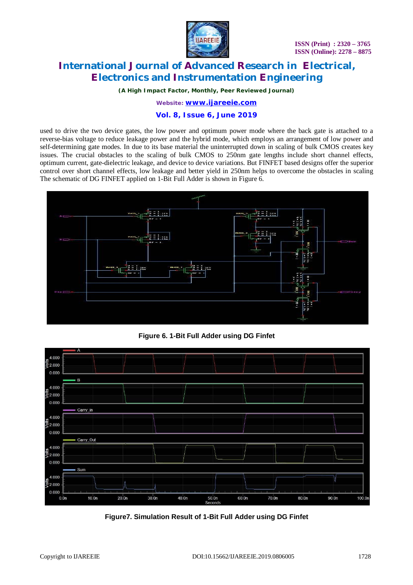

*(A High Impact Factor, Monthly, Peer Reviewed Journal)*

*Website: [www.ijareeie.com](http://www.ijareeie.com)*

### **Vol. 8, Issue 6, June 2019**

used to drive the two device gates, the low power and optimum power mode where the back gate is attached to a reverse-bias voltage to reduce leakage power and the hybrid mode, which employs an arrangement of low power and self-determining gate modes. In due to its base material the uninterrupted down in scaling of bulk CMOS creates key issues. The crucial obstacles to the scaling of bulk CMOS to 250nm gate lengths include short channel effects, optimum current, gate-dielectric leakage, and device to device variations. But FINFET based designs offer the superior control over short channel effects, low leakage and better yield in 250nm helps to overcome the obstacles in scaling The schematic of DG FINFET applied on 1-Bit Full Adder is shown in Figure 6.



**Figure 6. 1-Bit Full Adder using DG Finfet**



**Figure7. Simulation Result of 1-Bit Full Adder using DG Finfet**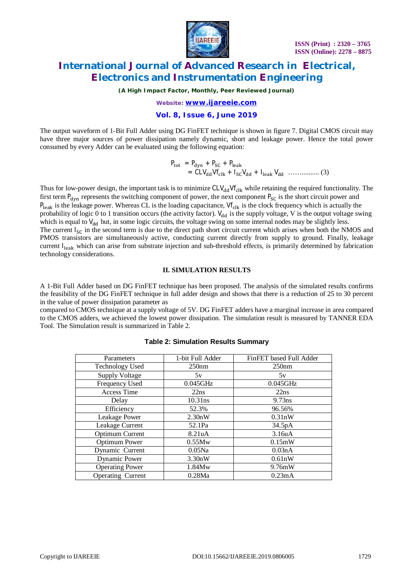

*(A High Impact Factor, Monthly, Peer Reviewed Journal)*

*Website: [www.ijareeie.com](http://www.ijareeie.com)*

#### **Vol. 8, Issue 6, June 2019**

The output waveform of 1-Bit Full Adder using DG FinFET technique is shown in figure 7. Digital CMOS circuit may have three major sources of power dissipation namely dynamic, short and leakage power. Hence the total power consumed by every Adder can be evaluated using the following equation:

$$
P_{\text{tot}} = P_{\text{dyn}} + P_{\text{SC}} + P_{\text{leak}}
$$
  
= CLV<sub>dd</sub> Vf<sub>clk</sub> + I<sub>SC</sub>V<sub>dd</sub> + I<sub>leak</sub>V<sub>dd</sub> + ... (3)

Thus for low-power design, the important task is to minimize CLV<sub>dd</sub>Vf<sub>clk</sub> while retaining the required functionality. The first term  $P_{\text{dyn}}$  represents the switching component of power, the next component  $P_{\text{SC}}$  is the short circuit power and  $P_{\text{leak}}$  is the leakage power. Whereas CL is the loading capacitance, Vf<sub>clk</sub> is the clock frequency which is actually the probability of logic 0 to 1 transition occurs (the activity factor).  $V_{dd}$  is the supply voltage, V is the output voltage swing which is equal to  $V_{dd}$  but, in some logic circuits, the voltage swing on some internal nodes may be slightly less. The current  $I_{SC}$  in the second term is due to the direct path short circuit current which arises when both the NMOS and PMOS transistors are simultaneously active, conducting current directly from supply to ground. Finally, leakage current I<sub>leak</sub> which can arise from substrate injection and sub-threshold effects, is primarily determined by fabrication technology considerations.

#### **II. SIMULATION RESULTS**

A 1-Bit Full Adder based on DG FinFET technique has been proposed. The analysis of the simulated results confirms the feasibility of the DG FinFET technique in full adder design and shows that there is a reduction of 25 to 30 percent in the value of power dissipation parameter as

compared to CMOS technique at a supply voltage of 5V. DG FinFET adders have a marginal increase in area compared to the CMOS adders, we achieved the lowest power dissipation. The simulation result is measured by TANNER EDA Tool. The Simulation result is summarized in Table 2.

| Parameters             | 1-bit Full Adder    | FinFET based Full Adder |
|------------------------|---------------------|-------------------------|
| <b>Technology Used</b> | 250nm               | 250nm                   |
| <b>Supply Voltage</b>  | 5v                  | 5v                      |
| Frequency Used         | $0.045$ GHz         | $0.045$ GHz             |
| Access Time            | 22ns                | 22ns                    |
| Delay                  | $10.31$ ns          | $9.73$ ns               |
| Efficiency             | 52.3%               | 96.56%                  |
| Leakage Power          | 2.30nW              | 0.31nW                  |
| Leakage Current        | 52.1Pa              | 34.5pA                  |
| <b>Optimum Current</b> | 8.21 <sub>u</sub> A | 3.16 <sub>u</sub> A     |
| <b>Optimum Power</b>   | 0.55Mw              | 0.15mW                  |
| Dynamic Current        | $0.05$ Na           | 0.03nA                  |
| <b>Dynamic Power</b>   | 3.30nW              | 0.61nW                  |
| <b>Operating Power</b> | 1.84Mw              | 9.76mW                  |
| Operating Current      | 0.28Ma              | 0.23mA                  |

### **Table 2: Simulation Results Summary**